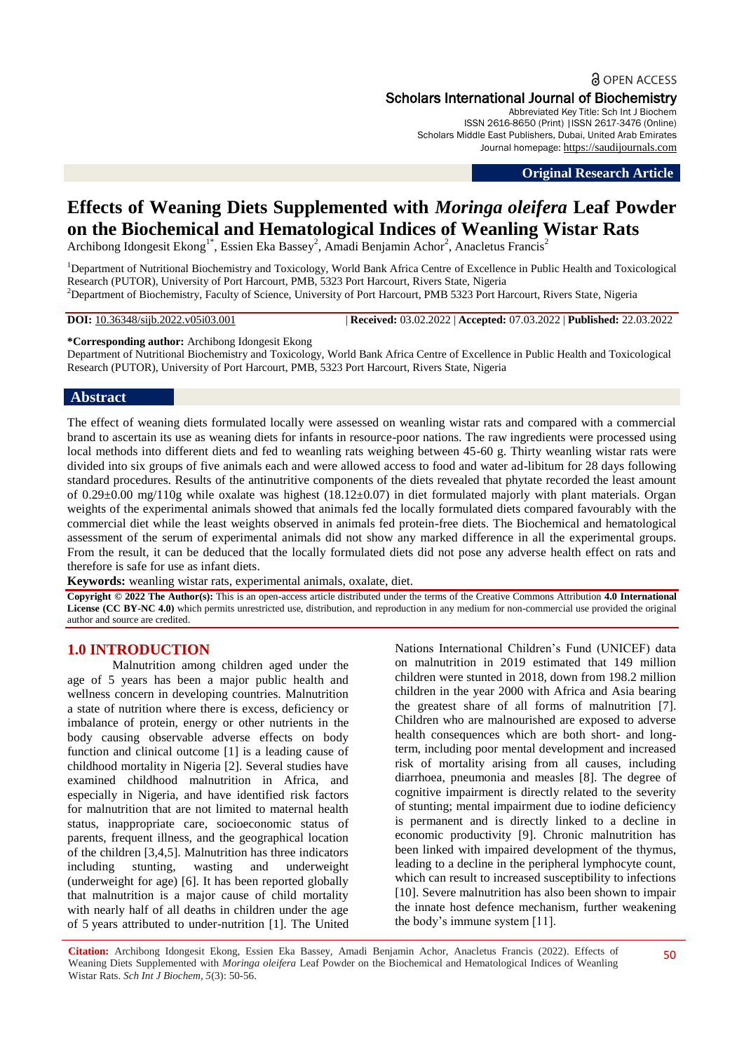# **a** OPEN ACCESS Scholars International Journal of Biochemistry

Abbreviated Key Title: Sch Int J Biochem ISSN 2616-8650 (Print) |ISSN 2617-3476 (Online) Scholars Middle East Publishers, Dubai, United Arab Emirates Journal homepage: [https://saudijournals.com](https://saudijournals.com/sijb)

**Original Research Article**

# **Effects of Weaning Diets Supplemented with** *Moringa oleifera* **Leaf Powder on the Biochemical and Hematological Indices of Weanling Wistar Rats**

Archibong Idongesit Ekong<sup>1\*</sup>, Essien Eka Bassey<sup>2</sup>, Amadi Benjamin Achor<sup>2</sup>, Anacletus Francis<sup>2</sup>

<sup>1</sup>Department of Nutritional Biochemistry and Toxicology, World Bank Africa Centre of Excellence in Public Health and Toxicological Research (PUTOR), University of Port Harcourt, PMB, 5323 Port Harcourt, Rivers State, Nigeria <sup>2</sup>Department of Biochemistry, Faculty of Science, University of Port Harcourt, PMB 5323 Port Harcourt, Rivers State, Nigeria

**DOI:** 10.36348/sijb.2022.v05i03.001 | **Received:** 03.02.2022 | **Accepted:** 07.03.2022 | **Published:** 22.03.2022

#### **\*Corresponding author:** Archibong Idongesit Ekong

Department of Nutritional Biochemistry and Toxicology, World Bank Africa Centre of Excellence in Public Health and Toxicological Research (PUTOR), University of Port Harcourt, PMB, 5323 Port Harcourt, Rivers State, Nigeria

#### **Abstract**

The effect of weaning diets formulated locally were assessed on weanling wistar rats and compared with a commercial brand to ascertain its use as weaning diets for infants in resource-poor nations. The raw ingredients were processed using local methods into different diets and fed to weanling rats weighing between 45-60 g. Thirty weanling wistar rats were divided into six groups of five animals each and were allowed access to food and water ad-libitum for 28 days following standard procedures. Results of the antinutritive components of the diets revealed that phytate recorded the least amount of  $0.29\pm0.00$  mg/110g while oxalate was highest  $(18.12\pm0.07)$  in diet formulated majorly with plant materials. Organ weights of the experimental animals showed that animals fed the locally formulated diets compared favourably with the commercial diet while the least weights observed in animals fed protein-free diets. The Biochemical and hematological assessment of the serum of experimental animals did not show any marked difference in all the experimental groups. From the result, it can be deduced that the locally formulated diets did not pose any adverse health effect on rats and therefore is safe for use as infant diets.

**Keywords:** weanling wistar rats, experimental animals, oxalate, diet.

**Copyright © 2022 The Author(s):** This is an open-access article distributed under the terms of the Creative Commons Attribution **4.0 International License (CC BY-NC 4.0)** which permits unrestricted use, distribution, and reproduction in any medium for non-commercial use provided the original author and source are credited.

#### **1.0 INTRODUCTION**

Malnutrition among children aged under the age of 5 years has been a major public health and wellness concern in developing countries. Malnutrition a state of nutrition where there is excess, deficiency or imbalance of protein, energy or other nutrients in the body causing observable adverse effects on body function and clinical outcome [1] is a leading cause of childhood mortality in Nigeria [2]. Several studies have examined childhood malnutrition in Africa, and especially in Nigeria, and have identified risk factors for malnutrition that are not limited to maternal health status, inappropriate care, socioeconomic status of parents, frequent illness, and the geographical location of the children [3,4,5]. Malnutrition has three indicators including stunting, wasting and underweight (underweight for age) [6]. It has been reported globally that malnutrition is a major cause of child mortality with nearly half of all deaths in children under the age of 5 years attributed to under-nutrition [1]. The United

Nations International Children's Fund (UNICEF) data on malnutrition in 2019 estimated that 149 million children were stunted in 2018, down from 198.2 million children in the year 2000 with Africa and Asia bearing the greatest share of all forms of malnutrition [7]. Children who are malnourished are exposed to adverse health consequences which are both short- and longterm, including poor mental development and increased risk of mortality arising from all causes, including diarrhoea, pneumonia and measles [8]. The degree of cognitive impairment is directly related to the severity of stunting; mental impairment due to iodine deficiency is permanent and is directly linked to a decline in economic productivity [9]. Chronic malnutrition has been linked with impaired development of the thymus, leading to a decline in the peripheral lymphocyte count, which can result to increased susceptibility to infections [10]. Severe malnutrition has also been shown to impair the innate host defence mechanism, further weakening the body's immune system [11].

**Citation:** Archibong Idongesit Ekong, Essien Eka Bassey, Amadi Benjamin Achor, Anacletus Francis (2022). Effects of Weaning Diets Supplemented with *Moringa oleifera* Leaf Powder on the Biochemical and Hematological Indices of Weanling Wistar Rats. *Sch Int J Biochem, 5*(3): 50-56.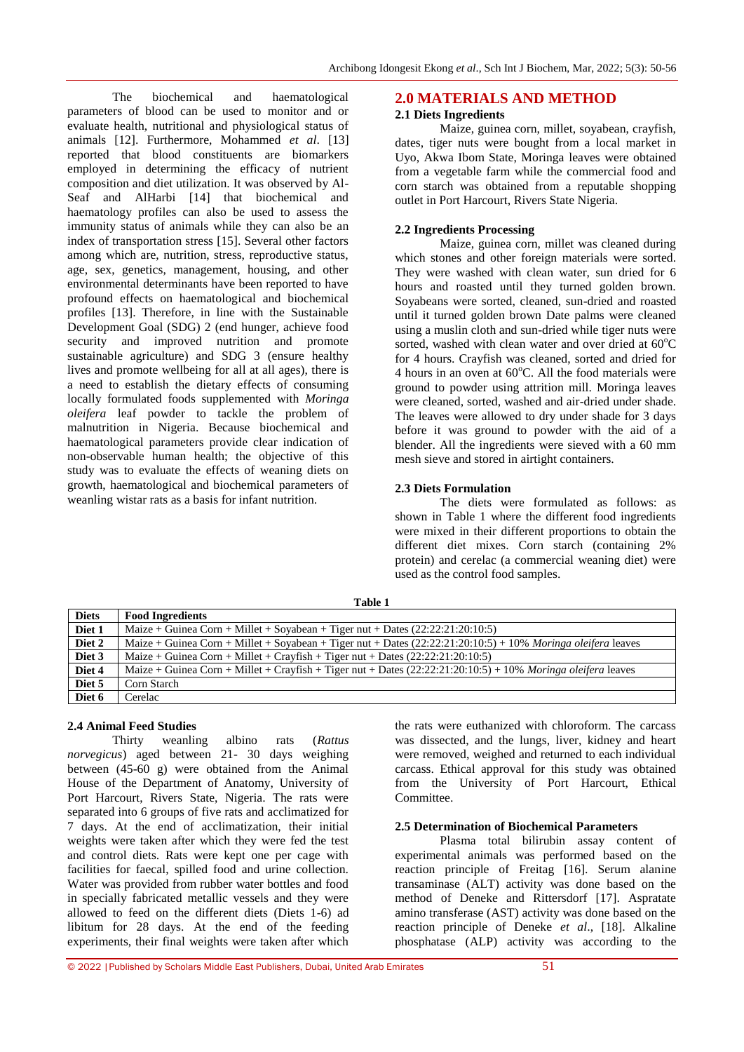The biochemical and haematological parameters of blood can be used to monitor and or evaluate health, nutritional and physiological status of animals [12]. Furthermore, Mohammed *et al*. [13] reported that blood constituents are biomarkers employed in determining the efficacy of nutrient composition and diet utilization. It was observed by Al-Seaf and AlHarbi [14] that biochemical and haematology profiles can also be used to assess the immunity status of animals while they can also be an index of transportation stress [15]. Several other factors among which are, nutrition, stress, reproductive status, age, sex, genetics, management, housing, and other environmental determinants have been reported to have profound effects on haematological and biochemical profiles [13]. Therefore, in line with the Sustainable Development Goal (SDG) 2 (end hunger, achieve food security and improved nutrition and promote sustainable agriculture) and SDG 3 (ensure healthy lives and promote wellbeing for all at all ages), there is a need to establish the dietary effects of consuming locally formulated foods supplemented with *Moringa oleifera* leaf powder to tackle the problem of malnutrition in Nigeria. Because biochemical and haematological parameters provide clear indication of non-observable human health; the objective of this study was to evaluate the effects of weaning diets on growth, haematological and biochemical parameters of weanling wistar rats as a basis for infant nutrition.

# **2.0 MATERIALS AND METHOD**

# **2.1 Diets Ingredients**

Maize, guinea corn, millet, soyabean, crayfish, dates, tiger nuts were bought from a local market in Uyo, Akwa Ibom State, Moringa leaves were obtained from a vegetable farm while the commercial food and corn starch was obtained from a reputable shopping outlet in Port Harcourt, Rivers State Nigeria.

## **2.2 Ingredients Processing**

Maize, guinea corn, millet was cleaned during which stones and other foreign materials were sorted. They were washed with clean water, sun dried for 6 hours and roasted until they turned golden brown. Soyabeans were sorted, cleaned, sun-dried and roasted until it turned golden brown Date palms were cleaned using a muslin cloth and sun-dried while tiger nuts were sorted, washed with clean water and over dried at  $60^{\circ}$ C for 4 hours. Crayfish was cleaned, sorted and dried for 4 hours in an oven at  $60^{\circ}$ C. All the food materials were ground to powder using attrition mill. Moringa leaves were cleaned, sorted, washed and air-dried under shade. The leaves were allowed to dry under shade for 3 days before it was ground to powder with the aid of a blender. All the ingredients were sieved with a 60 mm mesh sieve and stored in airtight containers.

# **2.3 Diets Formulation**

The diets were formulated as follows: as shown in Table 1 where the different food ingredients were mixed in their different proportions to obtain the different diet mixes. Corn starch (containing 2% protein) and cerelac (a commercial weaning diet) were used as the control food samples.

| <b>Diets</b> | <b>Food Ingredients</b>                                                                                        |
|--------------|----------------------------------------------------------------------------------------------------------------|
| Diet 1       | Maize + Guinea Corn + Millet + Soyabean + Tiger nut + Dates $(22:22:21:20:10:5)$                               |
| Diet 2       | Maize + Guinea Corn + Millet + Soyabean + Tiger nut + Dates $(22:22:21:20:10:5)$ + 10% Moringa oleifera leaves |
| Diet 3       | Maize + Guinea Corn + Millet + Crayfish + Tiger nut + Dates $(22:22:21:20:10:5)$                               |
| Diet 4       | Maize + Guinea Corn + Millet + Crayfish + Tiger nut + Dates $(22:22:21:20:10:5)$ + 10% Moringa oleifera leaves |
| Diet 5       | Corn Starch                                                                                                    |
| Diet 6       | Cerelac                                                                                                        |

**Table 1**

#### **2.4 Animal Feed Studies**

Thirty weanling albino rats (*Rattus norvegicus*) aged between 21- 30 days weighing between (45-60 g) were obtained from the Animal House of the Department of Anatomy, University of Port Harcourt, Rivers State, Nigeria. The rats were separated into 6 groups of five rats and acclimatized for 7 days. At the end of acclimatization, their initial weights were taken after which they were fed the test and control diets. Rats were kept one per cage with facilities for faecal, spilled food and urine collection. Water was provided from rubber water bottles and food in specially fabricated metallic vessels and they were allowed to feed on the different diets (Diets 1-6) ad libitum for 28 days. At the end of the feeding experiments, their final weights were taken after which

the rats were euthanized with chloroform. The carcass was dissected, and the lungs, liver, kidney and heart were removed, weighed and returned to each individual carcass. Ethical approval for this study was obtained from the University of Port Harcourt, Ethical Committee.

# **2.5 Determination of Biochemical Parameters**

Plasma total bilirubin assay content of experimental animals was performed based on the reaction principle of Freitag [16]. Serum alanine transaminase (ALT) activity was done based on the method of Deneke and Rittersdorf [17]. Aspratate amino transferase (AST) activity was done based on the reaction principle of Deneke *et al*., [18]. Alkaline phosphatase (ALP) activity was according to the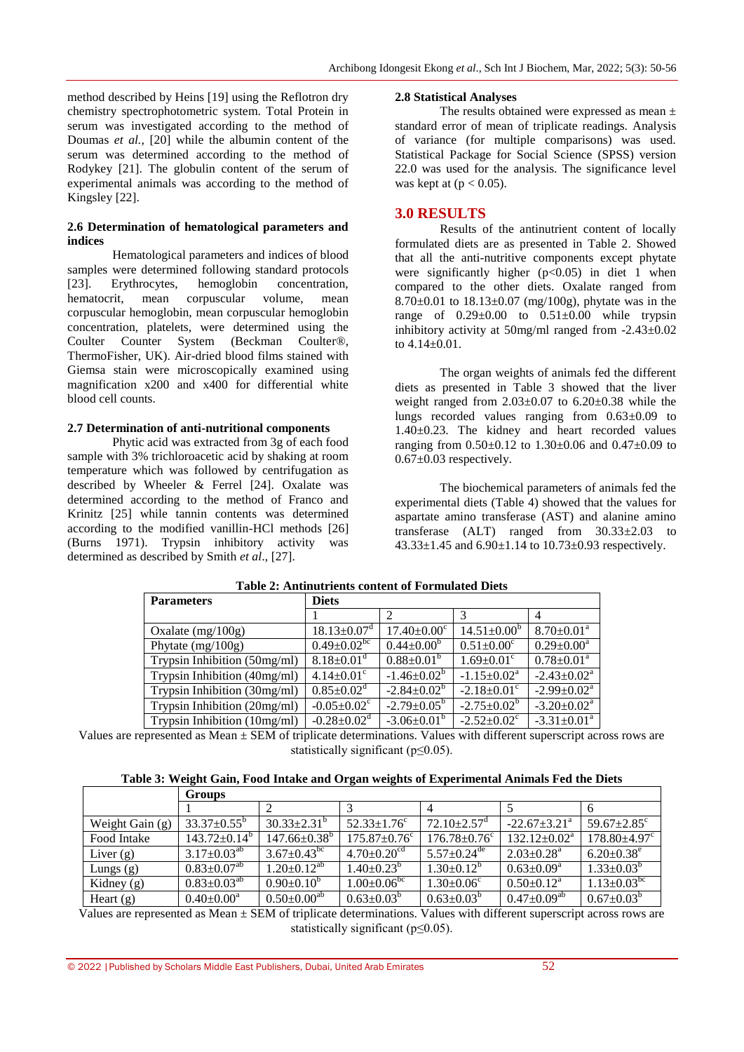method described by Heins [19] using the Reflotron dry chemistry spectrophotometric system. Total Protein in serum was investigated according to the method of Doumas *et al.,* [20] while the albumin content of the serum was determined according to the method of Rodykey [21]. The globulin content of the serum of experimental animals was according to the method of Kingsley [22].

#### **2.6 Determination of hematological parameters and indices**

Hematological parameters and indices of blood samples were determined following standard protocols [23]. Erythrocytes, hemoglobin concentration, hematocrit, mean corpuscular volume, mean corpuscular hemoglobin, mean corpuscular hemoglobin concentration, platelets, were determined using the Coulter Counter System (Beckman Coulter®, Coulter Counter System (Beckman Coulter®, ThermoFisher, UK). Air-dried blood films stained with Giemsa stain were microscopically examined using magnification x200 and x400 for differential white blood cell counts.

#### **2.7 Determination of anti-nutritional components**

Phytic acid was extracted from 3g of each food sample with 3% trichloroacetic acid by shaking at room temperature which was followed by centrifugation as described by Wheeler & Ferrel [24]. Oxalate was determined according to the method of Franco and Krinitz [25] while tannin contents was determined according to the modified vanillin-HCl methods [26] (Burns 1971). Trypsin inhibitory activity was determined as described by Smith *et al*., [27].

#### **2.8 Statistical Analyses**

The results obtained were expressed as mean ± standard error of mean of triplicate readings. Analysis of variance (for multiple comparisons) was used. Statistical Package for Social Science (SPSS) version 22.0 was used for the analysis. The significance level was kept at  $(p < 0.05)$ .

# **3.0 RESULTS**

Results of the antinutrient content of locally formulated diets are as presented in Table 2. Showed that all the anti-nutritive components except phytate were significantly higher  $(p<0.05)$  in diet 1 when compared to the other diets. Oxalate ranged from 8.70 $\pm$ 0.01 to 18.13 $\pm$ 0.07 (mg/100g), phytate was in the range of  $0.29 \pm 0.00$  to  $0.51 \pm 0.00$  while trypsin inhibitory activity at 50mg/ml ranged from -2.43±0.02 to 4.14±0.01.

The organ weights of animals fed the different diets as presented in Table 3 showed that the liver weight ranged from 2.03±0.07 to 6.20±0.38 while the lungs recorded values ranging from 0.63±0.09 to 1.40±0.23. The kidney and heart recorded values ranging from  $0.50\pm0.12$  to  $1.30\pm0.06$  and  $0.47\pm0.09$  to  $0.67\pm0.03$  respectively.

The biochemical parameters of animals fed the experimental diets (Table 4) showed that the values for aspartate amino transferase (AST) and alanine amino transferase  $(ALT)$  ranged from  $30.33 \pm 2.03$  to  $43.33\pm1.45$  and  $6.90\pm1.14$  to  $10.73\pm0.93$  respectively.

| <b>Parameters</b>              | <b>Diets</b>                  |                               |                               |                                       |  |  |
|--------------------------------|-------------------------------|-------------------------------|-------------------------------|---------------------------------------|--|--|
|                                |                               |                               |                               |                                       |  |  |
| Oxalate $(mg/100g)$            | $18.13 \pm 0.07$ <sup>d</sup> | $17.40 \pm 0.00$ <sup>c</sup> | $14.51 \pm 0.00^b$            | $8.70 \pm 0.01^{\text{a}}$            |  |  |
| Phytate $(mg/100g)$            | $0.49 \pm 0.02$ <sup>bc</sup> | $0.44 \pm 0.00^b$             | $0.51 \pm 0.00$ <sup>c</sup>  | $0.29 \pm 0.00^{\text{a}}$            |  |  |
| Trypsin Inhibition (50mg/ml)   | $8.18 \pm 0.01$ <sup>d</sup>  | $0.88 \pm 0.01^b$             | $1.69 \pm 0.01$ <sup>c</sup>  | $\overline{0.78} \pm 0.01^{\text{a}}$ |  |  |
| Trypsin Inhibition (40mg/ml)   | $4.14 \pm 0.01$ <sup>c</sup>  | $-1.46 \pm 0.02^b$            | $-1.15 \pm 0.02^{\text{a}}$   | $-2.43 \pm 0.02^{\text{a}}$           |  |  |
| Trypsin Inhibition (30mg/ml)   | $0.85 \pm 0.02$ <sup>d</sup>  | $-2.84 \pm 0.02^b$            | $-2.18 \pm 0.01$ <sup>c</sup> | $-2.99 \pm 0.02^{\text{a}}$           |  |  |
| Trypsin Inhibition $(20mg/ml)$ | $-0.05 \pm 0.02$ <sup>c</sup> | $-2.79 \pm 0.05^{\circ}$      | $-2.75 \pm 0.02^b$            | $-3.20 \pm 0.02^{\text{a}}$           |  |  |
| Trypsin Inhibition (10mg/ml)   | $-0.28 \pm 0.02$ <sup>d</sup> | $-3.06 \pm 0.01^{\rm b}$      | $-2.52 \pm 0.02$ <sup>c</sup> | $-3.31 \pm 0.01^a$                    |  |  |

#### **Table 2: Antinutrients content of Formulated Diets**

Values are represented as Mean  $\pm$  SEM of triplicate determinations. Values with different superscript across rows are statistically significant (p≤0.05).

|                   | <b>Groups</b>                 |                          |                                 |                                |                              |                              |
|-------------------|-------------------------------|--------------------------|---------------------------------|--------------------------------|------------------------------|------------------------------|
|                   |                               |                          |                                 |                                |                              |                              |
| Weight Gain $(g)$ | $33.37 \pm 0.55^{\circ}$      | $30.33 \pm 2.31^{\circ}$ | $52.33 + 1.76^{\circ}$          | $72.10 + 2.57$ <sup>d</sup>    | $-22.67+3.21^{\circ}$        | $59.67 + 2.85^{\circ}$       |
| Food Intake       | $143.72 \pm 0.14^b$           | $147.66 \pm 0.38^b$      | $175.87 \pm 0.76$ <sup>c</sup>  | $176.78 \pm 0.76$ <sup>c</sup> | $132.12 \pm 0.02^a$          | $178.80{\pm}4.97^c$          |
| Liver $(g)$       | $3.17 \pm 0.03^{ab}$          | 3.67+0.43 <sup>bc</sup>  | $4.70 \pm 0.20$ <sup>cd</sup>   | $5.57 \pm 0.24$ <sup>de</sup>  | $2.03 \pm 0.28$ <sup>a</sup> | $6.20 \pm 0.38$ <sup>e</sup> |
| Lungs $(g)$       | $0.83 \pm 0.07$ <sup>ab</sup> | $1.20 \pm 0.12^{ab}$     | $1.40 \pm 0.23^b$               | $1.30 \pm 0.12^b$              | $0.63{\pm}0.09^\mathrm{a}$   | $1.33 \pm 0.03^b$            |
| Kidney $(g)$      | $0.83 \pm 0.03^{ab}$          | $0.90 \pm 0.10^b$        | $1.00 \pm 0.06^{\overline{bc}}$ | $1.30 \pm 0.06$ <sup>c</sup>   | $0.50{\pm}0.12^{\rm a}$      | $1.13 \pm 0.03^{bc}$         |
| Heart $(g)$       | $0.40 \pm 0.00^a$             | $0.50 \pm 0.00^{\rm ab}$ | $0.63 \pm 0.03^b$               | $0.63 \pm 0.03^b$              | $0.47 \pm 0.09^{ab}$         | $0.67 \pm 0.03^{\mathrm{b}}$ |

Values are represented as Mean  $\pm$  SEM of triplicate determinations. Values with different superscript across rows are statistically significant (p≤0.05).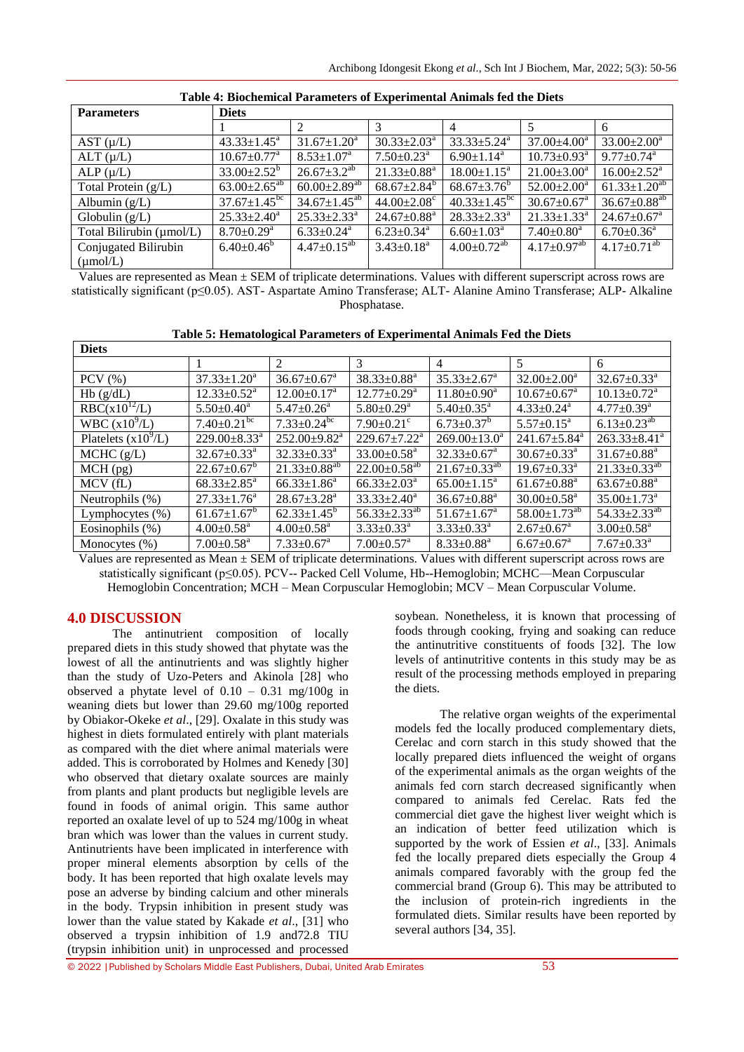| Table 4. Divenenneal I alameters of Experimental Annihais fea the Dicts |                               |                                |                               |                               |                                |                                |  |
|-------------------------------------------------------------------------|-------------------------------|--------------------------------|-------------------------------|-------------------------------|--------------------------------|--------------------------------|--|
| <b>Parameters</b>                                                       | <b>Diets</b>                  |                                |                               |                               |                                |                                |  |
|                                                                         |                               |                                | 3                             |                               |                                | 6                              |  |
| $AST (\mu/L)$                                                           | $43.33 \pm 1.45^{\text{a}}$   | $31.67 \pm 1.20^a$             | $30.33 \pm 2.03^{\text{a}}$   | $33.33 \pm 5.24^a$            | $37.00 \pm 4.00^a$             | $33.00 \pm 2.00^a$             |  |
| $ALT(\mu/L)$                                                            | $10.67 \pm 0.77$ <sup>a</sup> | $8.53 \pm 1.07^{\text{a}}$     | $7.50 \pm 0.23$ <sup>a</sup>  | $6.90 \pm 1.14$ <sup>a</sup>  | $10.73 \pm 0.93$ <sup>a</sup>  | $9.77 \pm 0.74$ <sup>a</sup>   |  |
| $ALP(\mu/L)$                                                            | $33.00 \pm 2.52^b$            | $26.67 \pm 3.2^{ab}$           | $21.33 \pm 0.88$ <sup>a</sup> | $18.00 \pm 1.15^{\text{a}}$   | $21.00 \pm 3.00^a$             | $16.00 \pm 2.52^{\text{a}}$    |  |
| Total Protein $(g/L)$                                                   | $63.00 \pm 2.65^{ab}$         | $60.00 \pm 2.89$ <sup>ab</sup> | $68.67 \pm 2.84$ <sup>b</sup> | $68.67 \pm 3.76^b$            | $52.00 \pm 2.00^a$             | $61.33 \pm 1.20^{ab}$          |  |
| Albumin $(g/L)$                                                         | $37.67 \pm 1.45^{\rm bc}$     | $34.67 \pm 1.45^{ab}$          | $44.00 \pm 2.08$ <sup>c</sup> | $40.33 \pm 1.45^{\rm bc}$     | $30.67 \pm 0.67$ <sup>a</sup>  | $36.67 \pm 0.88$ <sup>ab</sup> |  |
| Globulin $(g/L)$                                                        | $25.33 \pm 2.40^a$            | $25.33 \pm 2.33^a$             | $24.67 \pm 0.88$ <sup>a</sup> | $28.33 \pm 2.33^a$            | $21.33 \pm 1.33^a$             | $24.67 \pm 0.67$ <sup>a</sup>  |  |
| Total Bilirubin (µmol/L)                                                | $8.70 \pm 0.29$ <sup>a</sup>  | $6.33 \pm 0.24$ <sup>a</sup>   | $6.23 \pm 0.34$ <sup>a</sup>  | $6.60 \pm 1.03^{\text{a}}$    | $7.40{\scriptstyle \pm0.80^a}$ | $6.70 \pm 0.36$ <sup>a</sup>   |  |
| Conjugated Bilirubin                                                    | $6.40 \pm 0.46^{\circ}$       | $4.47 \pm 0.15^{ab}$           | $3.43 \pm 0.18^a$             | $4.00 \pm 0.72$ <sup>ab</sup> | $4.17 \pm 0.97$ <sup>ab</sup>  | $4.17 \pm 0.71^{ab}$           |  |
| $(\mu \text{mol/L})$                                                    |                               |                                |                               |                               |                                |                                |  |

Values are represented as Mean ± SEM of triplicate determinations. Values with different superscript across rows are statistically significant (p≤0.05). AST- Aspartate Amino Transferase; ALT- Alanine Amino Transferase; ALP- Alkaline Phosphatase.

|  | Table 5: Hematological Parameters of Experimental Animals Fed the Diets |
|--|-------------------------------------------------------------------------|
|--|-------------------------------------------------------------------------|

| Diets                 |                                |                                |                                |                               |                                |                                |  |  |
|-----------------------|--------------------------------|--------------------------------|--------------------------------|-------------------------------|--------------------------------|--------------------------------|--|--|
|                       |                                | $\mathfrak{D}$                 | $\mathcal{E}$                  | $\overline{4}$                | 5                              | 6                              |  |  |
| $PCV$ $(\% )$         | $37.33 \pm 1.20^a$             | $36.67 \pm 0.67$ <sup>a</sup>  | $38.33 \pm 0.88^a$             | $35.33 + 2.67^{\circ}$        | $32.00 \pm 2.00^a$             | $32.67 \pm 0.33$ <sup>a</sup>  |  |  |
| Hb(g/dL)              | $12.33 \pm 0.52^{\text{a}}$    | $12.00 \pm 0.17^{\text{a}}$    | $12.77 \pm 0.29^{\mathrm{a}}$  | $11.80 \pm 0.90^a$            | $10.67 \pm 0.67$ <sup>a</sup>  | $10.13 \pm 0.72$ <sup>a</sup>  |  |  |
| $RBC(x10^{12}/L)$     | $5.50 \pm 0.40^a$              | $5.47+0.26^a$                  | $5.80 \pm 0.29$ <sup>a</sup>   | $5.40 \pm 0.35$ <sup>a</sup>  | $4.33 \pm 0.24$ <sup>a</sup>   | $4.77 \pm 0.39^{\text{a}}$     |  |  |
| WBC $(x10^9/L)$       | $7.40 \pm 0.21$ <sup>bc</sup>  | $7.33 \pm 0.24$ <sup>bc</sup>  | $7.90 \pm 0.21$ °              | $6.73 \pm 0.37^b$             | $5.57 \pm 0.15^{\text{a}}$     | $6.13 \pm 0.23$ <sup>ab</sup>  |  |  |
| Platelets $(x10^9/L)$ | $229.00 \pm 8.33$ <sup>a</sup> | $252.00 \pm 9.82^a$            | $229.67 \pm 7.22^{\text{a}}$   | $269.00 \pm 13.0^a$           | $241.67 \pm 5.84$ <sup>a</sup> | $263.33 \pm 8.41^a$            |  |  |
| MCHC (g/L)            | $32.67 \pm 0.33^{\text{a}}$    | $32.33 \pm 0.33^a$             | $33.00 \pm 0.58$ <sup>a</sup>  | $32.33 \pm 0.67$ <sup>a</sup> | $30.67 \pm 0.33$ <sup>a</sup>  | $31.67 \pm 0.88$ <sup>a</sup>  |  |  |
| $MCH$ (pg)            | $22.67 \pm 0.67^{\circ}$       | $21.33 \pm 0.88$ <sup>ab</sup> | $22.00 \pm 0.58$ <sup>ab</sup> | $21.67 \pm 0.33^{ab}$         | $19.67 \pm 0.33$ <sup>a</sup>  | $21.33 \pm 0.33$ <sup>ab</sup> |  |  |
| $MCV$ (fL)            | $68.33 + 2.85^{\text{a}}$      | $66.33 \pm 1.86^a$             | $66.33 + 2.03^a$               | $65.00 \pm 1.15^{\text{a}}$   | $61.67 \pm 0.88$ <sup>a</sup>  | $63.67 \pm 0.88$ <sup>a</sup>  |  |  |
| Neutrophils (%)       | $27.33 \pm 1.76^a$             | $28.67 + 3.28^a$               | $33.33 \pm 2.40^a$             | $36.67 \pm 0.88$ <sup>a</sup> | $30.00 \pm 0.58$ <sup>a</sup>  | $35.00 \pm 1.73$ <sup>a</sup>  |  |  |
| Lymphocytes $(\%)$    | $61.67 \pm 1.67^b$             | $62.33 \pm 1.45^b$             | $56.33 \pm 2.33^{ab}$          | $51.67 \pm 1.67$ <sup>a</sup> | $58.00 \pm 1.73$ <sup>ab</sup> | 54.33 $\pm$ 2.33 <sup>ab</sup> |  |  |
| Eosinophils (%)       | $4.00 \pm 0.58$ <sup>a</sup>   | $4.00 \pm 0.58$ <sup>a</sup>   | $3.33 \pm 0.33^{\text{a}}$     | $3.33 \pm 0.33^{\text{a}}$    | $2.67 \pm 0.67$ <sup>a</sup>   | $3.00 \pm 0.58$ <sup>a</sup>   |  |  |
| Monocytes $(\% )$     | $7.00 \pm 0.58$ <sup>a</sup>   | $7.33 \pm 0.67$ <sup>a</sup>   | $7.00 \pm 0.57$ <sup>a</sup>   | $8.33 \pm 0.88$ <sup>a</sup>  | $6.67 \pm 0.67$ <sup>a</sup>   | $7.67 \pm 0.33$ <sup>a</sup>   |  |  |

Values are represented as Mean  $\pm$  SEM of triplicate determinations. Values with different superscript across rows are statistically significant (p≤0.05). PCV-- Packed Cell Volume, Hb--Hemoglobin; MCHC—Mean Corpuscular Hemoglobin Concentration; MCH – Mean Corpuscular Hemoglobin; MCV – Mean Corpuscular Volume.

# **4.0 DISCUSSION**

**Diets**

The antinutrient composition of locally prepared diets in this study showed that phytate was the lowest of all the antinutrients and was slightly higher than the study of Uzo-Peters and Akinola [28] who observed a phytate level of  $0.10 - 0.31$  mg/ $100g$  in weaning diets but lower than 29.60 mg/100g reported by Obiakor-Okeke *et al*., [29]. Oxalate in this study was highest in diets formulated entirely with plant materials as compared with the diet where animal materials were added. This is corroborated by Holmes and Kenedy [30] who observed that dietary oxalate sources are mainly from plants and plant products but negligible levels are found in foods of animal origin. This same author reported an oxalate level of up to 524 mg/100g in wheat bran which was lower than the values in current study. Antinutrients have been implicated in interference with proper mineral elements absorption by cells of the body. It has been reported that high oxalate levels may pose an adverse by binding calcium and other minerals in the body. Trypsin inhibition in present study was lower than the value stated by Kakade *et al*., [31] who observed a trypsin inhibition of 1.9 and72.8 TIU (trypsin inhibition unit) in unprocessed and processed

soybean. Nonetheless, it is known that processing of foods through cooking, frying and soaking can reduce the antinutritive constituents of foods [32]. The low levels of antinutritive contents in this study may be as result of the processing methods employed in preparing the diets.

The relative organ weights of the experimental models fed the locally produced complementary diets, Cerelac and corn starch in this study showed that the locally prepared diets influenced the weight of organs of the experimental animals as the organ weights of the animals fed corn starch decreased significantly when compared to animals fed Cerelac. Rats fed the commercial diet gave the highest liver weight which is an indication of better feed utilization which is supported by the work of Essien *et al*., [33]. Animals fed the locally prepared diets especially the Group 4 animals compared favorably with the group fed the commercial brand (Group 6). This may be attributed to the inclusion of protein-rich ingredients in the formulated diets. Similar results have been reported by several authors [34, 35].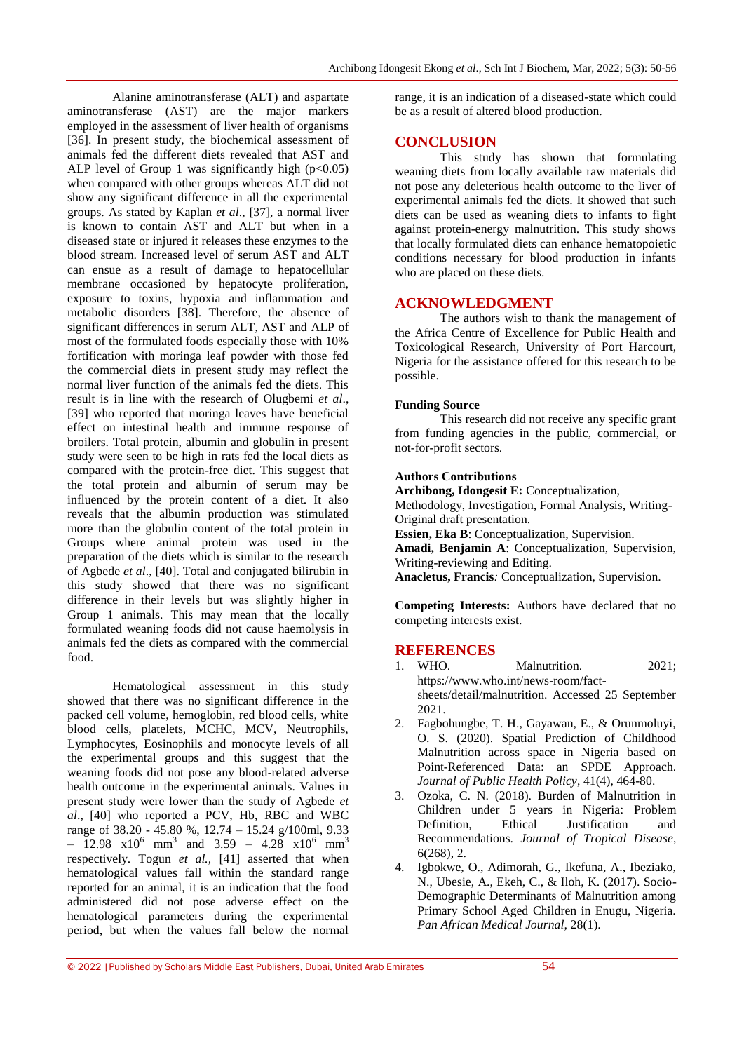Alanine aminotransferase (ALT) and aspartate aminotransferase (AST) are the major markers employed in the assessment of liver health of organisms [36]. In present study, the biochemical assessment of animals fed the different diets revealed that AST and ALP level of Group 1 was significantly high  $(p<0.05)$ when compared with other groups whereas ALT did not show any significant difference in all the experimental groups. As stated by Kaplan *et al*., [37], a normal liver is known to contain AST and ALT but when in a diseased state or injured it releases these enzymes to the blood stream. Increased level of serum AST and ALT can ensue as a result of damage to hepatocellular membrane occasioned by hepatocyte proliferation, exposure to toxins, hypoxia and inflammation and metabolic disorders [38]. Therefore, the absence of significant differences in serum ALT, AST and ALP of most of the formulated foods especially those with 10% fortification with moringa leaf powder with those fed the commercial diets in present study may reflect the normal liver function of the animals fed the diets. This result is in line with the research of Olugbemi *et al*., [39] who reported that moringa leaves have beneficial effect on intestinal health and immune response of broilers. Total protein, albumin and globulin in present study were seen to be high in rats fed the local diets as compared with the protein-free diet. This suggest that the total protein and albumin of serum may be influenced by the protein content of a diet. It also reveals that the albumin production was stimulated more than the globulin content of the total protein in Groups where animal protein was used in the preparation of the diets which is similar to the research of Agbede *et al*., [40]. Total and conjugated bilirubin in this study showed that there was no significant difference in their levels but was slightly higher in Group 1 animals. This may mean that the locally formulated weaning foods did not cause haemolysis in animals fed the diets as compared with the commercial food.

Hematological assessment in this study showed that there was no significant difference in the packed cell volume, hemoglobin, red blood cells, white blood cells, platelets, MCHC, MCV, Neutrophils, Lymphocytes, Eosinophils and monocyte levels of all the experimental groups and this suggest that the weaning foods did not pose any blood-related adverse health outcome in the experimental animals. Values in present study were lower than the study of Agbede *et al*., [40] who reported a PCV, Hb, RBC and WBC range of 38.20 - 45.80 %, 12.74 – 15.24 g/100ml, 9.33  $-$  12.98  $\times 10^{6}$  mm<sup>3</sup> and 3.59 - 4.28  $\times 10^{6}$  mm<sup>3</sup> respectively. Togun *et al.,* [41] asserted that when hematological values fall within the standard range reported for an animal, it is an indication that the food administered did not pose adverse effect on the hematological parameters during the experimental period, but when the values fall below the normal

range, it is an indication of a diseased-state which could be as a result of altered blood production.

# **CONCLUSION**

This study has shown that formulating weaning diets from locally available raw materials did not pose any deleterious health outcome to the liver of experimental animals fed the diets. It showed that such diets can be used as weaning diets to infants to fight against protein-energy malnutrition. This study shows that locally formulated diets can enhance hematopoietic conditions necessary for blood production in infants who are placed on these diets.

# **ACKNOWLEDGMENT**

The authors wish to thank the management of the Africa Centre of Excellence for Public Health and Toxicological Research, University of Port Harcourt, Nigeria for the assistance offered for this research to be possible.

#### **Funding Source**

This research did not receive any specific grant from funding agencies in the public, commercial, or not-for-profit sectors.

#### **Authors Contributions**

**Archibong, Idongesit E:** Conceptualization, Methodology, Investigation, Formal Analysis, Writing-Original draft presentation. **Essien, Eka B**: Conceptualization, Supervision. **Amadi, Benjamin A**: Conceptualization, Supervision, Writing-reviewing and Editing. **Anacletus, Francis***:* Conceptualization, Supervision.

**Competing Interests:** Authors have declared that no competing interests exist.

#### **REFERENCES**

- 1. WHO. Malnutrition. 2021; [https://www.who.int/news-room/fact](https://www.who.int/news-room/fact-sheets/detail/malnutrition.%20Accessed%2025%20September%202021)[sheets/detail/malnutrition. Accessed 25 September](https://www.who.int/news-room/fact-sheets/detail/malnutrition.%20Accessed%2025%20September%202021)  [2021.](https://www.who.int/news-room/fact-sheets/detail/malnutrition.%20Accessed%2025%20September%202021)
- 2. Fagbohungbe, T. H., Gayawan, E., & Orunmoluyi, O. S. (2020). Spatial Prediction of Childhood Malnutrition across space in Nigeria based on Point-Referenced Data: an SPDE Approach. *Journal of Public Health Policy*, 41(4), 464-80.
- 3. Ozoka, C. N. (2018). Burden of Malnutrition in Children under 5 years in Nigeria: Problem Definition, Ethical Justification and Recommendations. *Journal of Tropical Disease*, 6(268), 2.
- 4. Igbokwe, O., Adimorah, G., Ikefuna, A., Ibeziako, N., Ubesie, A., Ekeh, C., & Iloh, K. (2017). Socio-Demographic Determinants of Malnutrition among Primary School Aged Children in Enugu, Nigeria. *Pan African Medical Journal,* 28(1).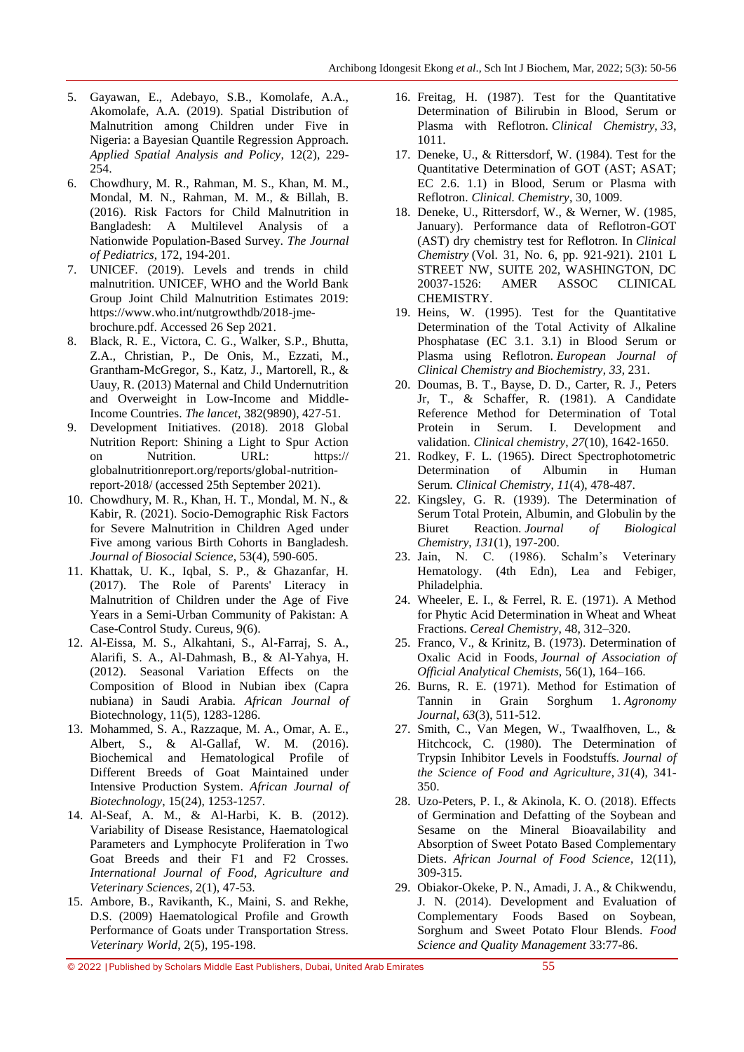- 5. Gayawan, E., Adebayo, S.B., Komolafe, A.A., Akomolafe, A.A. (2019). Spatial Distribution of Malnutrition among Children under Five in Nigeria: a Bayesian Quantile Regression Approach. *Applied Spatial Analysis and Policy*, 12(2), 229- 254.
- 6. Chowdhury, M. R., Rahman, M. S., Khan, M. M., Mondal, M. N., Rahman, M. M., & Billah, B. (2016). Risk Factors for Child Malnutrition in Bangladesh: A Multilevel Analysis of a Nationwide Population-Based Survey. *The Journal of Pediatrics*, 172, 194-201.
- 7. UNICEF. (2019). Levels and trends in child malnutrition. UNICEF, WHO and the World Bank Group Joint Child Malnutrition Estimates 2019: https://www.who.int/nutgrowthdb/2018-jmebrochure.pdf. Accessed 26 Sep 2021.
- 8. Black, R. E., Victora, C. G., Walker, S.P., Bhutta, Z.A., Christian, P., De Onis, M., Ezzati, M., Grantham-McGregor, S., Katz, J., Martorell, R., & Uauy, R. (2013) Maternal and Child Undernutrition and Overweight in Low-Income and Middle-Income Countries. *The lancet*, 382(9890), 427-51.
- 9. Development Initiatives. (2018). 2018 Global Nutrition Report: Shining a Light to Spur Action on Nutrition. URL: https:// globalnutritionreport.org/reports/global-nutritionreport-2018/ (accessed 25th September 2021).
- 10. Chowdhury, M. R., Khan, H. T., Mondal, M. N., & Kabir, R. (2021). Socio-Demographic Risk Factors for Severe Malnutrition in Children Aged under Five among various Birth Cohorts in Bangladesh. *Journal of Biosocial Science*, 53(4), 590-605.
- 11. Khattak, U. K., Iqbal, S. P., & Ghazanfar, H. (2017). The Role of Parents' Literacy in Malnutrition of Children under the Age of Five Years in a Semi-Urban Community of Pakistan: A Case-Control Study. Cureus, 9(6).
- 12. Al-Eissa, M. S., Alkahtani, S., Al-Farraj, S. A., Alarifi, S. A., Al-Dahmash, B., & Al-Yahya, H. (2012). Seasonal Variation Effects on the Composition of Blood in Nubian ibex (Capra nubiana) in Saudi Arabia. *African Journal of*  Biotechnology, 11(5), 1283-1286.
- 13. Mohammed, S. A., Razzaque, M. A., Omar, A. E., Albert, S., & Al-Gallaf, W. M. (2016). Biochemical and Hematological Profile of Different Breeds of Goat Maintained under Intensive Production System. *African Journal of Biotechnology*, 15(24), 1253-1257.
- 14. Al-Seaf, A. M., & Al-Harbi, K. B. (2012). Variability of Disease Resistance, Haematological Parameters and Lymphocyte Proliferation in Two Goat Breeds and their F1 and F2 Crosses. *International Journal of Food, Agriculture and Veterinary Sciences*, 2(1), 47-53.
- 15. Ambore, B., Ravikanth, K., Maini, S. and Rekhe, D.S. (2009) Haematological Profile and Growth Performance of Goats under Transportation Stress. *Veterinary World*, 2(5), 195-198.
- 16. Freitag, H. (1987). Test for the Quantitative Determination of Bilirubin in Blood, Serum or Plasma with Reflotron. *Clinical Chemistry*, *33*, 1011.
- 17. Deneke, U., & Rittersdorf, W. (1984). Test for the Quantitative Determination of GOT (AST; ASAT; EC 2.6. 1.1) in Blood, Serum or Plasma with Reflotron. *Clinical. Chemistry*, 30, 1009.
- 18. Deneke, U., Rittersdorf, W., & Werner, W. (1985, January). Performance data of Reflotron-GOT (AST) dry chemistry test for Reflotron. In *Clinical Chemistry* (Vol. 31, No. 6, pp. 921-921). 2101 L STREET NW, SUITE 202, WASHINGTON, DC 20037-1526: AMER ASSOC CLINICAL CHEMISTRY.
- 19. Heins, W. (1995). Test for the Quantitative Determination of the Total Activity of Alkaline Phosphatase (EC 3.1. 3.1) in Blood Serum or Plasma using Reflotron. *European Journal of Clinical Chemistry and Biochemistry*, *33*, 231.
- 20. Doumas, B. T., Bayse, D. D., Carter, R. J., Peters Jr, T., & Schaffer, R. (1981). A Candidate Reference Method for Determination of Total Protein in Serum. I. Development and validation. *Clinical chemistry*, *27*(10), 1642-1650.
- 21. Rodkey, F. L. (1965). Direct Spectrophotometric Determination of Albumin in Human Serum. *Clinical Chemistry*, *11*(4), 478-487.
- 22. Kingsley, G. R. (1939). The Determination of Serum Total Protein, Albumin, and Globulin by the Biuret Reaction. *Journal of Biological Chemistry*, *131*(1), 197-200.
- 23. Jain, N. C. (1986). Schalm's Veterinary Hematology. (4th Edn), Lea and Febiger, Philadelphia.
- 24. Wheeler, E. I., & Ferrel, R. E. (1971). A Method for Phytic Acid Determination in Wheat and Wheat Fractions. *Cereal Chemistry*, 48, 312–320.
- 25. Franco, V., & Krinitz, B. (1973). Determination of Oxalic Acid in Foods, *Journal of Association of Official Analytical Chemists*, 56(1), 164–166.
- 26. Burns, R. E. (1971). Method for Estimation of Tannin in Grain Sorghum 1. *Agronomy Journal*, *63*(3), 511-512.
- 27. Smith, C., Van Megen, W., Twaalfhoven, L., & Hitchcock, C. (1980). The Determination of Trypsin Inhibitor Levels in Foodstuffs. *Journal of the Science of Food and Agriculture*, *31*(4), 341- 350.
- 28. Uzo-Peters, P. I., & Akinola, K. O. (2018). Effects of Germination and Defatting of the Soybean and Sesame on the Mineral Bioavailability and Absorption of Sweet Potato Based Complementary Diets. *African Journal of Food Science*, 12(11), 309-315.
- 29. Obiakor-Okeke, P. N., Amadi, J. A., & Chikwendu, J. N. (2014). Development and Evaluation of Complementary Foods Based on Soybean, Sorghum and Sweet Potato Flour Blends. *Food Science and Quality Management* 33:77-86.

<sup>© 2022</sup> |Published by Scholars Middle East Publishers, Dubai, United Arab Emirates 55